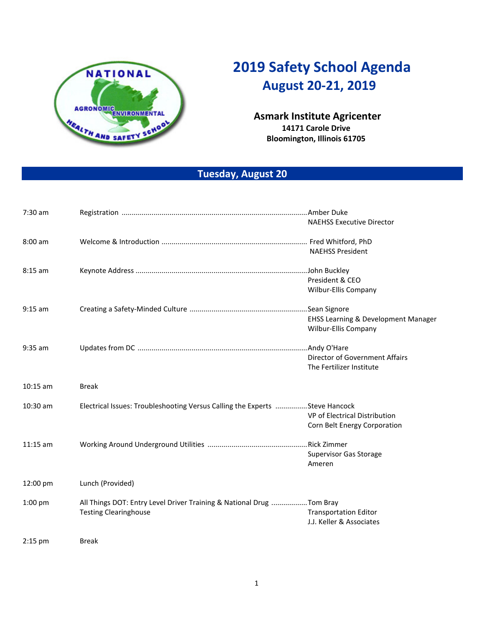

## **2019 Safety School Agenda August 20-21, 2019**

## **Asmark Institute Agricenter 14171 Carole Drive Bloomington, Illinois 61705**

## **Tuesday, August 20**

| 7:30 am    |                                                                             |                                                |  |  |
|------------|-----------------------------------------------------------------------------|------------------------------------------------|--|--|
|            |                                                                             | <b>NAEHSS Executive Director</b>               |  |  |
| 8:00 am    |                                                                             |                                                |  |  |
|            |                                                                             | <b>NAEHSS President</b>                        |  |  |
| $8:15$ am  |                                                                             |                                                |  |  |
|            |                                                                             | President & CEO                                |  |  |
|            |                                                                             | Wilbur-Ellis Company                           |  |  |
| $9:15$ am  |                                                                             |                                                |  |  |
|            |                                                                             | <b>EHSS Learning &amp; Development Manager</b> |  |  |
|            |                                                                             | Wilbur-Ellis Company                           |  |  |
| $9:35$ am  |                                                                             |                                                |  |  |
|            |                                                                             | Director of Government Affairs                 |  |  |
|            |                                                                             | The Fertilizer Institute                       |  |  |
| $10:15$ am | <b>Break</b>                                                                |                                                |  |  |
| 10:30 am   | Electrical Issues: Troubleshooting Versus Calling the Experts Steve Hancock |                                                |  |  |
|            |                                                                             | VP of Electrical Distribution                  |  |  |
|            |                                                                             | Corn Belt Energy Corporation                   |  |  |
| $11:15$ am |                                                                             |                                                |  |  |
|            |                                                                             | <b>Supervisor Gas Storage</b>                  |  |  |
|            |                                                                             | Ameren                                         |  |  |
| 12:00 pm   | Lunch (Provided)                                                            |                                                |  |  |
| $1:00$ pm  | All Things DOT: Entry Level Driver Training & National Drug Tom Bray        |                                                |  |  |
|            | <b>Testing Clearinghouse</b>                                                | <b>Transportation Editor</b>                   |  |  |
|            |                                                                             | J.J. Keller & Associates                       |  |  |
| $2:15$ pm  | <b>Break</b>                                                                |                                                |  |  |